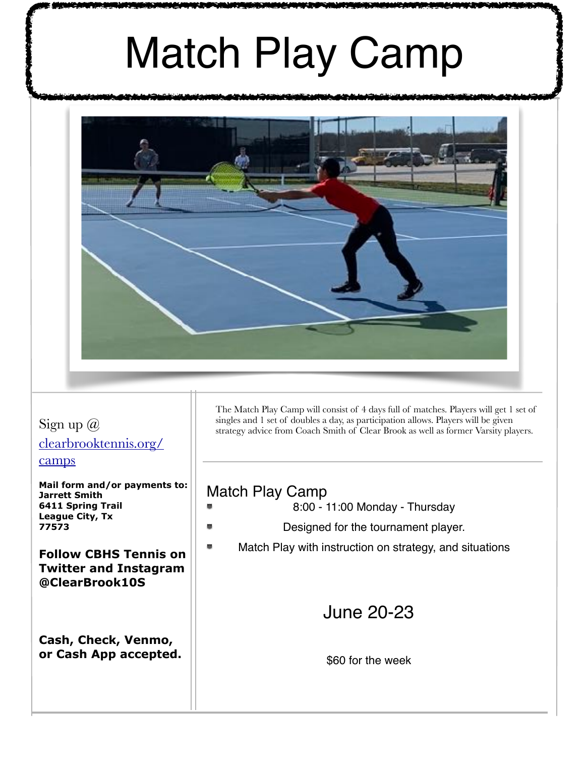# Match Play Camp



#### Sign up @ [clearbrooktennis.org/](http://clearbrooktennis.org/camps) [camps](http://clearbrooktennis.org/camps)

**Mail form and/or payments to: Jarrett Smith 6411 Spring Trail League City, Tx 77573**

**Follow CBHS Tennis on Twitter and Instagram @ClearBrook10S** 

**Cash, Check, Venmo, or Cash App accepted.**  The Match Play Camp will consist of 4 days full of matches. Players will get 1 set of singles and 1 set of doubles a day, as participation allows. Players will be given strategy advice from Coach Smith of Clear Brook as well as former Varsity players.

### Match Play Camp

- 8:00 11:00 Monday Thursday
- Designed for the tournament player.
- Match Play with instruction on strategy, and situations

## June 20-23

\$60 for the week